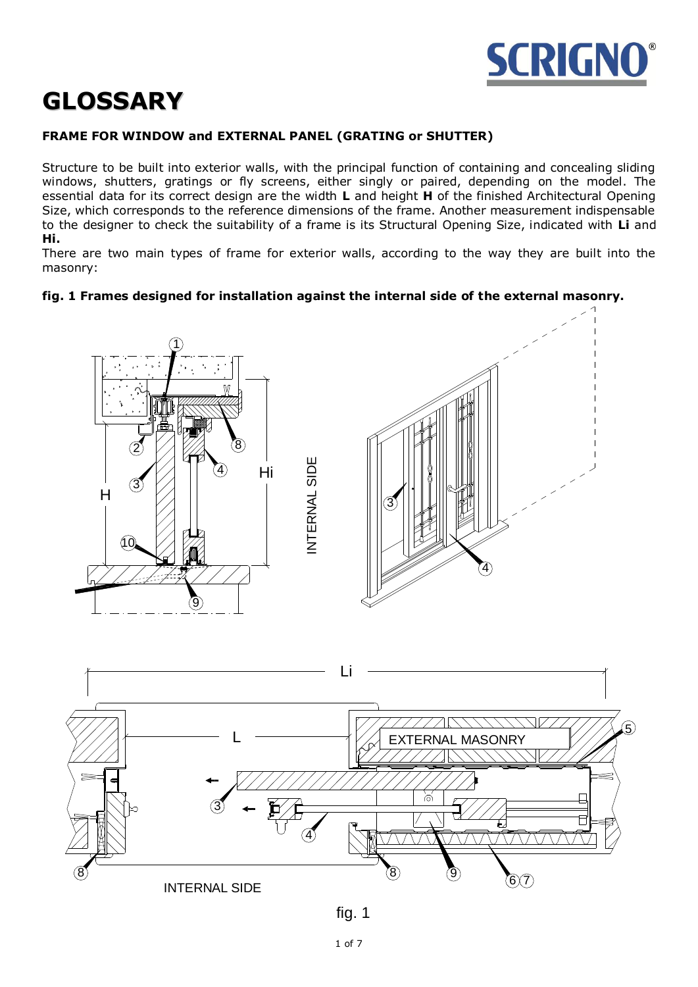

# **GLOSSARY**

# **FRAME FOR WINDOW and EXTERNAL PANEL (GRATING or SHUTTER)**

Structure to be built into exterior walls, with the principal function of containing and concealing sliding windows, shutters, gratings or fly screens, either singly or paired, depending on the model. The essential data for its correct design are the width **L** and height **H** of the finished Architectural Opening Size, which corresponds to the reference dimensions of the frame. Another measurement indispensable to the designer to check the suitability of a frame is its Structural Opening Size, indicated with **Li** and **Hi.**

There are two main types of frame for exterior walls, according to the way they are built into the masonry:

## **fig. 1 Frames designed for installation against the internal side of the external masonry.**





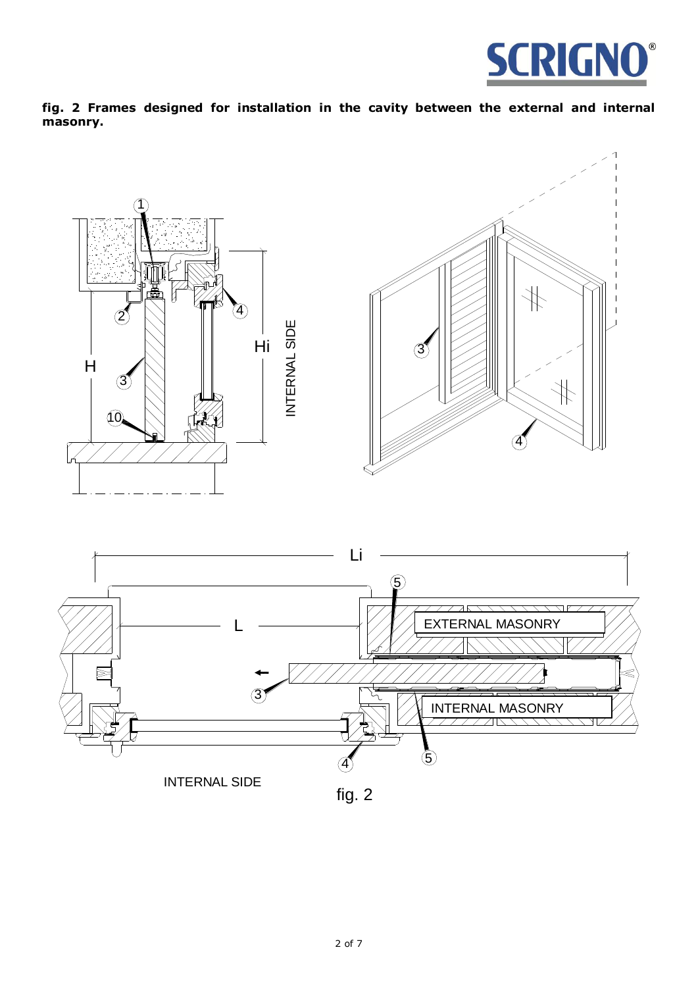

**fig. 2 Frames designed for installation in the cavity between the external and internal masonry.**



INTERNAL SIDE

fig. 2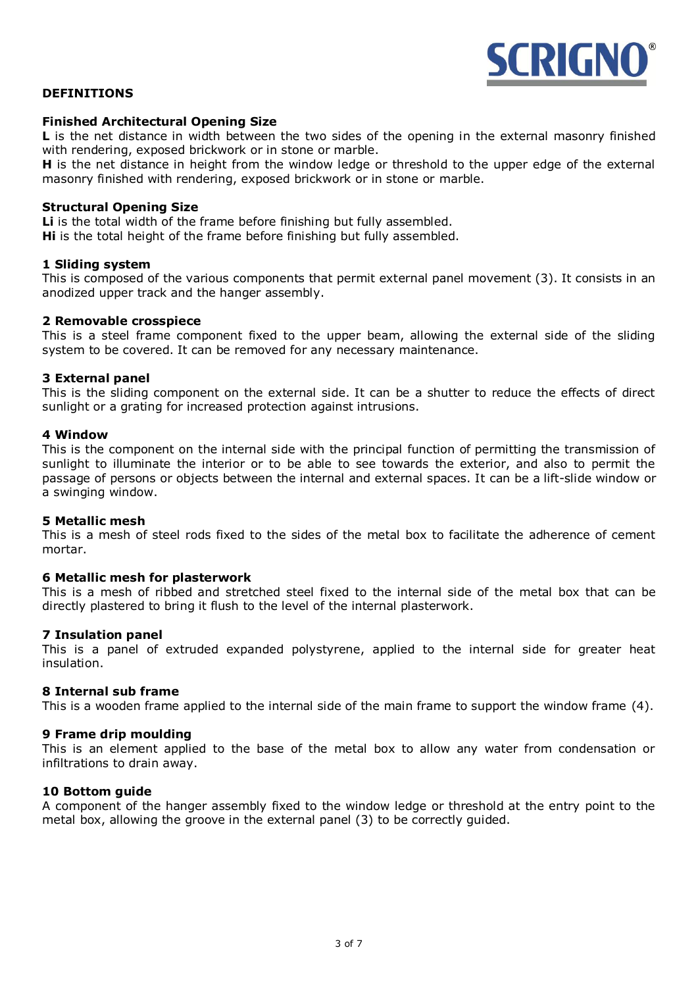

## **DEFINITIONS**

### **Finished Architectural Opening Size**

**L** is the net distance in width between the two sides of the opening in the external masonry finished with rendering, exposed brickwork or in stone or marble.

**H** is the net distance in height from the window ledge or threshold to the upper edge of the external masonry finished with rendering, exposed brickwork or in stone or marble.

#### **Structural Opening Size**

**Li** is the total width of the frame before finishing but fully assembled. **Hi** is the total height of the frame before finishing but fully assembled.

#### **1 Sliding system**

This is composed of the various components that permit external panel movement (3). It consists in an anodized upper track and the hanger assembly.

#### **2 Removable crosspiece**

This is a steel frame component fixed to the upper beam, allowing the external side of the sliding system to be covered. It can be removed for any necessary maintenance.

#### **3 External panel**

This is the sliding component on the external side. It can be a shutter to reduce the effects of direct sunlight or a grating for increased protection against intrusions.

#### **4 Window**

This is the component on the internal side with the principal function of permitting the transmission of sunlight to illuminate the interior or to be able to see towards the exterior, and also to permit the passage of persons or objects between the internal and external spaces. It can be a lift-slide window or a swinging window.

#### **5 Metallic mesh**

This is a mesh of steel rods fixed to the sides of the metal box to facilitate the adherence of cement mortar.

#### **6 Metallic mesh for plasterwork**

This is a mesh of ribbed and stretched steel fixed to the internal side of the metal box that can be directly plastered to bring it flush to the level of the internal plasterwork.

#### **7 Insulation panel**

This is a panel of extruded expanded polystyrene, applied to the internal side for greater heat insulation.

#### **8 Internal sub frame**

This is a wooden frame applied to the internal side of the main frame to support the window frame (4).

#### **9 Frame drip moulding**

This is an element applied to the base of the metal box to allow any water from condensation or infiltrations to drain away.

#### **10 Bottom guide**

A component of the hanger assembly fixed to the window ledge or threshold at the entry point to the metal box, allowing the groove in the external panel (3) to be correctly guided.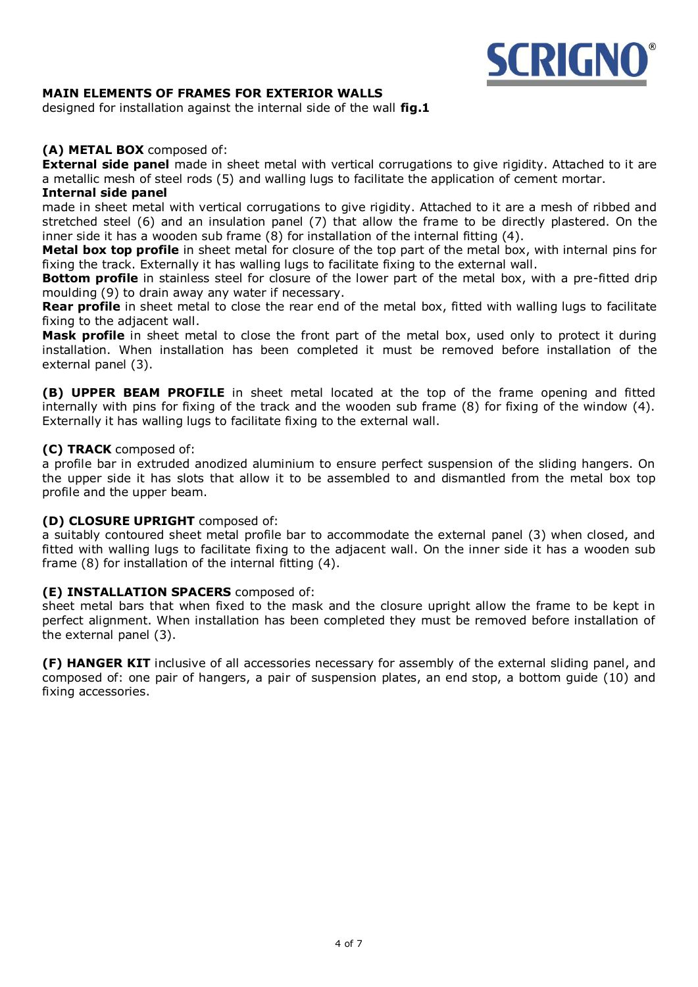

## **MAIN ELEMENTS OF FRAMES FOR EXTERIOR WALLS**

designed for installation against the internal side of the wall **fig.1**

## **(A) METAL BOX** composed of:

**External side panel** made in sheet metal with vertical corrugations to give rigidity. Attached to it are a metallic mesh of steel rods (5) and walling lugs to facilitate the application of cement mortar.

### **Internal side panel**

made in sheet metal with vertical corrugations to give rigidity. Attached to it are a mesh of ribbed and stretched steel (6) and an insulation panel (7) that allow the frame to be directly plastered. On the inner side it has a wooden sub frame (8) for installation of the internal fitting (4).

**Metal box top profile** in sheet metal for closure of the top part of the metal box, with internal pins for fixing the track. Externally it has walling lugs to facilitate fixing to the external wall.

**Bottom profile** in stainless steel for closure of the lower part of the metal box, with a pre-fitted drip moulding (9) to drain away any water if necessary.

**Rear profile** in sheet metal to close the rear end of the metal box, fitted with walling lugs to facilitate fixing to the adjacent wall.

**Mask profile** in sheet metal to close the front part of the metal box, used only to protect it during installation. When installation has been completed it must be removed before installation of the external panel (3).

**(B) UPPER BEAM PROFILE** in sheet metal located at the top of the frame opening and fitted internally with pins for fixing of the track and the wooden sub frame (8) for fixing of the window (4). Externally it has walling lugs to facilitate fixing to the external wall.

## **(C) TRACK** composed of:

a profile bar in extruded anodized aluminium to ensure perfect suspension of the sliding hangers. On the upper side it has slots that allow it to be assembled to and dismantled from the metal box top profile and the upper beam.

## **(D) CLOSURE UPRIGHT** composed of:

a suitably contoured sheet metal profile bar to accommodate the external panel (3) when closed, and fitted with walling lugs to facilitate fixing to the adjacent wall. On the inner side it has a wooden sub frame (8) for installation of the internal fitting (4).

## **(E) INSTALLATION SPACERS** composed of:

sheet metal bars that when fixed to the mask and the closure upright allow the frame to be kept in perfect alignment. When installation has been completed they must be removed before installation of the external panel (3).

**(F) HANGER KIT** inclusive of all accessories necessary for assembly of the external sliding panel, and composed of: one pair of hangers, a pair of suspension plates, an end stop, a bottom guide (10) and fixing accessories.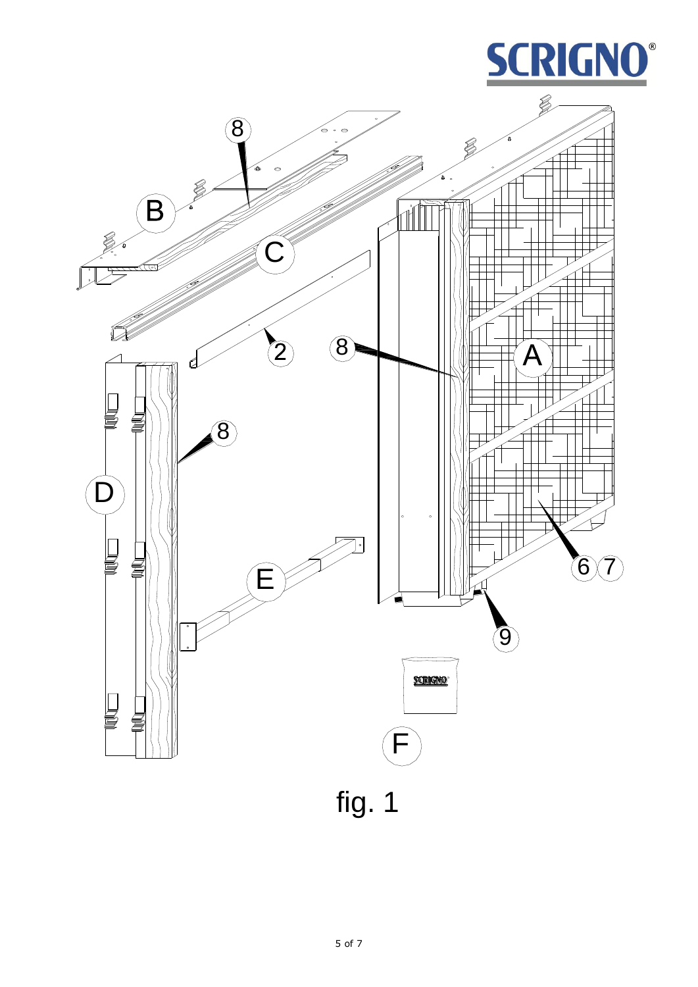

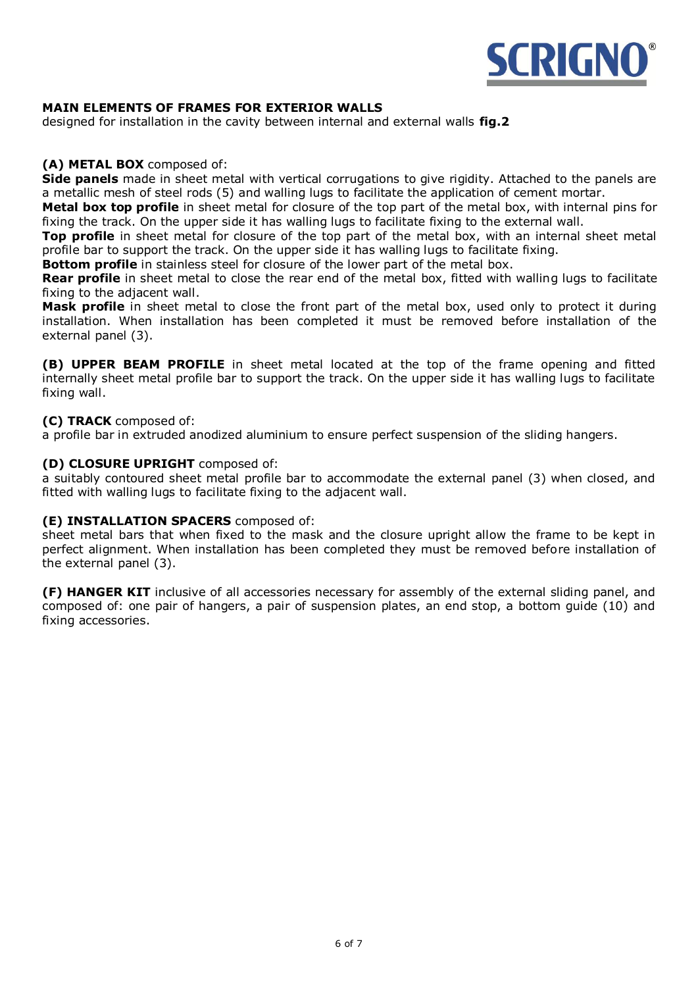

## **MAIN ELEMENTS OF FRAMES FOR EXTERIOR WALLS**

designed for installation in the cavity between internal and external walls **fig.2**

## **(A) METAL BOX** composed of:

**Side panels** made in sheet metal with vertical corrugations to give rigidity. Attached to the panels are a metallic mesh of steel rods (5) and walling lugs to facilitate the application of cement mortar.

**Metal box top profile** in sheet metal for closure of the top part of the metal box, with internal pins for fixing the track. On the upper side it has walling lugs to facilitate fixing to the external wall.

**Top profile** in sheet metal for closure of the top part of the metal box, with an internal sheet metal profile bar to support the track. On the upper side it has walling lugs to facilitate fixing.

**Bottom profile** in stainless steel for closure of the lower part of the metal box.

**Rear profile** in sheet metal to close the rear end of the metal box, fitted with walling lugs to facilitate fixing to the adjacent wall.

**Mask profile** in sheet metal to close the front part of the metal box, used only to protect it during installation. When installation has been completed it must be removed before installation of the external panel (3).

**(B) UPPER BEAM PROFILE** in sheet metal located at the top of the frame opening and fitted internally sheet metal profile bar to support the track. On the upper side it has walling lugs to facilitate fixing wall.

## **(C) TRACK** composed of:

a profile bar in extruded anodized aluminium to ensure perfect suspension of the sliding hangers.

## **(D) CLOSURE UPRIGHT** composed of:

a suitably contoured sheet metal profile bar to accommodate the external panel (3) when closed, and fitted with walling lugs to facilitate fixing to the adjacent wall.

## **(E) INSTALLATION SPACERS** composed of:

sheet metal bars that when fixed to the mask and the closure upright allow the frame to be kept in perfect alignment. When installation has been completed they must be removed before installation of the external panel (3).

**(F) HANGER KIT** inclusive of all accessories necessary for assembly of the external sliding panel, and composed of: one pair of hangers, a pair of suspension plates, an end stop, a bottom guide (10) and fixing accessories.